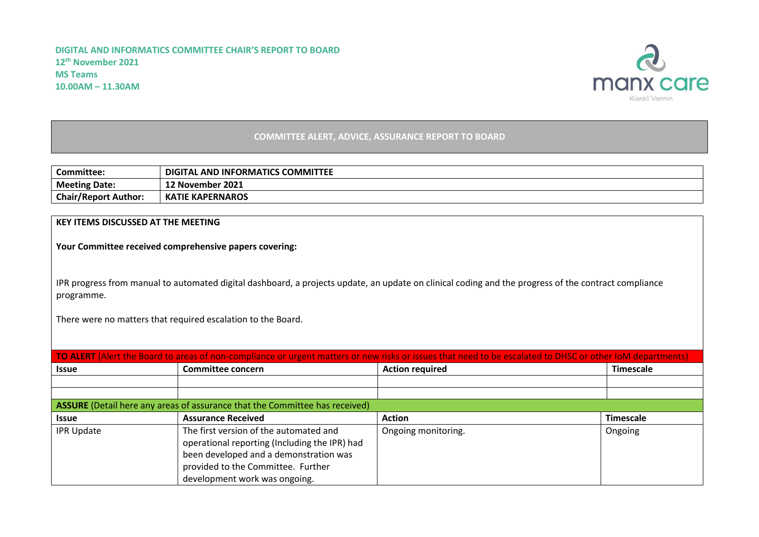

## **COMMITTEE ALERT, ADVICE, ASSURANCE REPORT TO BOARD**

| <b>Committee:</b>           | ITAL AND INFORMATICS COMMITTEE<br>DIGI. |
|-----------------------------|-----------------------------------------|
| <b>Meeting Date:</b>        | 12 November 2021                        |
| <b>Chair/Report Author:</b> | <b>KATIE KAPERNAROS</b>                 |

## **KEY ITEMS DISCUSSED AT THE MEETING**

**Your Committee received comprehensive papers covering:**

IPR progress from manual to automated digital dashboard, a projects update, an update on clinical coding and the progress of the contract compliance programme.

There were no matters that required escalation to the Board.

| TO ALERT (Alert the Board to areas of non-compliance or urgent matters or new risks or issues that need to be escalated to DHSC or other IoM departments) |                                                                                                                                                                                                          |                        |                  |  |  |  |  |  |
|-----------------------------------------------------------------------------------------------------------------------------------------------------------|----------------------------------------------------------------------------------------------------------------------------------------------------------------------------------------------------------|------------------------|------------------|--|--|--|--|--|
| <b>Issue</b>                                                                                                                                              | <b>Committee concern</b>                                                                                                                                                                                 | <b>Action required</b> | <b>Timescale</b> |  |  |  |  |  |
|                                                                                                                                                           |                                                                                                                                                                                                          |                        |                  |  |  |  |  |  |
|                                                                                                                                                           |                                                                                                                                                                                                          |                        |                  |  |  |  |  |  |
| ASSURE (Detail here any areas of assurance that the Committee has received)                                                                               |                                                                                                                                                                                                          |                        |                  |  |  |  |  |  |
| <b>Issue</b>                                                                                                                                              | <b>Assurance Received</b>                                                                                                                                                                                | <b>Action</b>          | <b>Timescale</b> |  |  |  |  |  |
| <b>IPR Update</b>                                                                                                                                         | The first version of the automated and<br>operational reporting (Including the IPR) had<br>been developed and a demonstration was<br>provided to the Committee. Further<br>development work was ongoing. | Ongoing monitoring.    | Ongoing          |  |  |  |  |  |